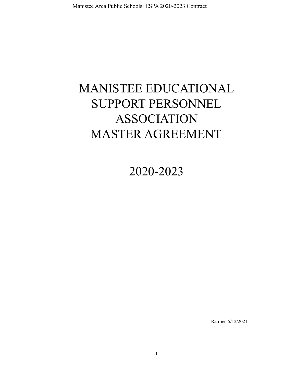# MANISTEE EDUCATIONAL SUPPORT PERSONNEL ASSOCIATION MASTER AGREEMENT

2020-2023

Ratified 5/12/2021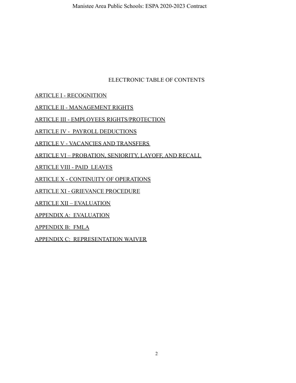## ELECTRONIC TABLE OF CONTENTS

[ARTICLE I - RECOGNITION](#page-2-0)

[ARTICLE II - MANAGEMENT RIGHTS](#page-2-1)

[ARTICLE III - EMPLOYEES RIGHTS/PROTECTION](#page-3-0)

[ARTICLE IV - PAYROLL DEDUCTIONS](#page-4-0)

[ARTICLE V - VACANCIES AND TRANSFERS](#page-4-1)

[ARTICLE VI – PROBATION, SENIORITY, LAYOFF, AND RECALL](#page-6-0)

[ARTICLE VIII - PAID LEAVES](#page-9-0)

[ARTICLE X - CONTINUITY OF OPERATIONS](#page-13-0)

[ARTICLE XI - GRIEVANCE PROCEDURE](#page-14-0)

ARTICLE XII – EVALUATION

[APPENDIX A: EVALUATION](#page-23-0)

[APPENDIX B: FMLA](#page-23-1)

[APPENDIX C: REPRESENTATION WAIVER](#page-23-2)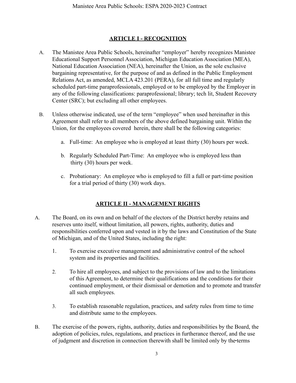## **ARTICLE I - RECOGNITION**

- <span id="page-2-0"></span>A. The Manistee Area Public Schools, hereinafter "employer" hereby recognizes Manistee Educational Support Personnel Association, Michigan Education Association (MEA), National Education Association (NEA), hereinafter the Union, as the sole exclusive bargaining representative, for the purpose of and as defined in the Public Employment Relations Act, as amended, MCLA 423.201 (PERA), for all full time and regularly scheduled part-time paraprofessionals, employed or to be employed by the Employer in any of the following classifications: paraprofessional; library; tech lit, Student Recovery Center (SRC); but excluding all other employees.
- B. Unless otherwise indicated, use of the term "employee" when used hereinafter in this Agreement shall refer to all members of the above defined bargaining unit. Within the Union, for the employees covered herein, there shall be the following categories:
	- a. Full-time: An employee who is employed at least thirty (30) hours per week.
	- b. Regularly Scheduled Part-Time: An employee who is employed less than thirty (30) hours per week.
	- c. Probationary: An employee who is employed to fill a full or part-time position for a trial period of thirty (30) work days.

# **ARTICLE II - MANAGEMENT RIGHTS**

- <span id="page-2-1"></span>A. The Board, on its own and on behalf of the electors of the District hereby retains and reserves unto itself, without limitation, all powers, rights, authority, duties and responsibilities conferred upon and vested in it by the laws and Constitution of the State of Michigan, and of the United States, including the right:
	- 1. To exercise executive management and administrative control of the school system and its properties and facilities.
	- 2. To hire all employees, and subject to the provisions of law and to the limitations of this Agreement, to determine their qualifications and the conditions for their continued employment, or their dismissal or demotion and to promote and transfer all such employees.
	- 3. To establish reasonable regulation, practices, and safety rules from time to time and distribute same to the employees.
- B. The exercise of the powers, rights, authority, duties and responsibilities by the Board, the adoption of policies, rules, regulations, and practices in furtherance thereof, and the use of judgment and discretion in connection therewith shall be limited only by the terms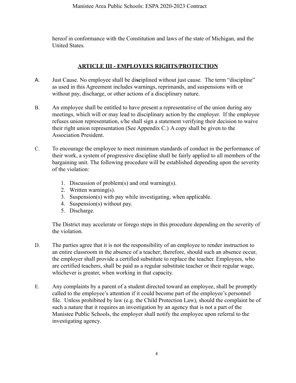hereof in conformance with the Constitution and laws of the state of Michigan, and the United States.

## **ARTICLE III - EMPLOYEES RIGHTS/PROTECTION**

- <span id="page-3-0"></span>A. Just Cause. No employee shall be di**sc**iplined without just cause. The term "discipline" as used in this Agreement includes warnings, reprimands, and suspensions with or without pay, discharge, or other actions of a disciplinary nature.
- B. An employee shall be entitled to have present a representative of the union during any meetings, which will or may lead to disciplinary action by the employer. If the employee refuses union representation, s/he shall sign a statement verifying their decision to waive their right union representation (See Appendix C.) A copy shall be given to the Association President.
- C. To encourage the employee to meet minimum standards of conduct in the performance of their work, a system of progressive discipline shall be fairly applied to all members of the bargaining unit. The following procedure will be established depending upon the severity of the violation:
	- 1. Discussion of problem(s) and oral warning(s).
	- 2. Written warning(s).
	- 3. Suspension(s) with pay while investigating, when applicable.
	- 4. Suspension(s) without pay.
	- 5. Discharge.

The District may accelerate or forego steps in this procedure depending on the severity of the violation.

- D. The parties agree that it is not the responsibility of an employee to render instruction to an entire classroom in the absence of a teacher; therefore, should such an absence occur, the employer shall provide a certified substitute to replace the teacher. Employees, who are certified teachers, shall be paid as a regular substitute teacher or their regular wage, whichever is greater, when working in that capacity.
- E. Any complaints by a parent of a student directed toward an employee, shall be promptly called to the employee's attention if it could become part of the employee's personnel file. Unless prohibited by law (e.g. the Child Protection Law), should the complaint be of such a nature that it requires an investigation by an agency that is not a part of the Manistee Public Schools, the employer shall notify the employee upon referral to the investigating agency.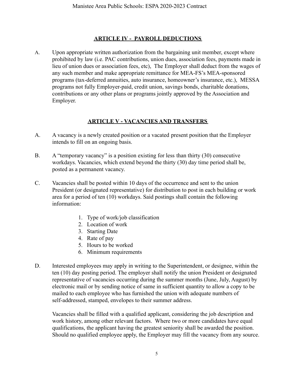#### **ARTICLE IV - PAYROLL DEDUCTIONS**

<span id="page-4-0"></span>A. Upon appropriate written authorization from the bargaining unit member, except where prohibited by law (i.e. PAC contributions, union dues, association fees, payments made in lieu of union dues or association fees, etc), The Employer shall deduct from the wages of any such member and make appropriate remittance for MEA-FS's MEA-sponsored programs (tax-deferred annuities, auto insurance, homeowner's insurance, etc.), MESSA programs not fully Employer-paid, credit union, savings bonds, charitable donations, contributions or any other plans or programs jointly approved by the Association and Employer.

## **ARTICLE V - VACANCIES AND TRANSFERS**

- <span id="page-4-1"></span>A. A vacancy is a newly created position or a vacated present position that the Employer intends to fill on an ongoing basis.
- B. A "temporary vacancy" is a position existing for less than thirty (30) consecutive workdays. Vacancies, which extend beyond the thirty (30) day time period shall be, posted as a permanent vacancy.
- C. Vacancies shall be posted within 10 days of the occurrence and sent to the union President (or designated representative) for distribution to post in each building or work area for a period of ten (10) workdays. Said postings shall contain the following information:
	- 1. Type of work/job classification
	- 2. Location of work
	- 3. Starting Date
	- 4. Rate of pay
	- 5. Hours to be worked
	- 6. Minimum requirements
- D. Interested employees may apply in writing to the Superintendent, or designee, within the ten (10) day posting period. The employer shall notify the union President or designated representative of vacancies occurring during the summer months (June, July, August) by electronic mail or by sending notice of same in sufficient quantity to allow a copy to be mailed to each employee who has furnished the union with adequate numbers of self-addressed, stamped, envelopes to their summer address.

Vacancies shall be filled with a qualified applicant, considering the job description and work history, among other relevant factors. Where two or more candidates have equal qualifications, the applicant having the greatest seniority shall be awarded the position. Should no qualified employee apply, the Employer may fill the vacancy from any source.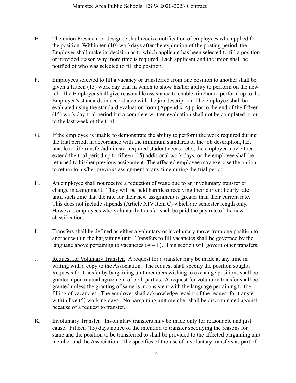- E. The union President or designee shall receive notification of employees who applied for the position. Within ten (10) workdays after the expiration of the posting period, the Employer shall make its decision as to which applicant has been selected to fill a position or provided reason why more time is required. Each applicant and the union shall be notified of who was selected to fill the position.
- F. Employees selected to fill a vacancy or transferred from one position to another shall be given a fifteen (15) work day trial in which to show his/her ability to perform on the new job. The Employer shall give reasonable assistance to enable him/her to perform up to the Employer's standards in accordance with the job description. The employee shall be evaluated using the standard evaluation form (Appendix A) prior to the end of the fifteen (15) work day trial period but a complete written evaluation shall not be completed prior to the last week of the trial.
- G. If the employee is unable to demonstrate the ability to perform the work required during the trial period, in accordance with the minimum standards of the job description, I.E. unable to lift/transfer/administer required student needs, etc., the employer may either extend the trial period up to fifteen (15) additional work days, or the employee shall be returned to his/her previous assignment. The affected employee may exercise the option to return to his/her previous assignment at any time during the trial period.
- H. An employee shall not receive a reduction of wage due to an involuntary transfer or change in assignment. They will be held harmless receiving their current hourly rate until such time that the rate for their new assignment is greater than their current rate. This does not include stipends (Article XIV Item C) which are semester length only. However, employees who voluntarily transfer shall be paid the pay rate of the new classification.
- I. Transfers shall be defined as either a voluntary or involuntary move from one position to another within the bargaining unit. Transfers to fill vacancies shall be governed by the language above pertaining to vacancies  $(A - F)$ . This section will govern other transfers.
- J. Request for Voluntary Transfer. A request for a transfer may be made at any time in writing with a copy to the Association. The request shall specify the position sought. Requests for transfer by bargaining unit members wishing to exchange positions shall be granted upon mutual agreement of both parties. A request for voluntary transfer shall be granted unless the granting of same is inconsistent with the language pertaining to the filling of vacancies. The employer shall acknowledge receipt of the request for transfer within five (5) working days. No bargaining unit member shall be discriminated against because of a request to transfer.
- K. Involuntary Transfer. Involuntary transfers may be made only for reasonable and just cause. Fifteen (15) days notice of the intention to transfer specifying the reasons for same and the position to be transferred to shall be provided to the affected bargaining unit member and the Association. The specifics of the use of involuntary transfers as part of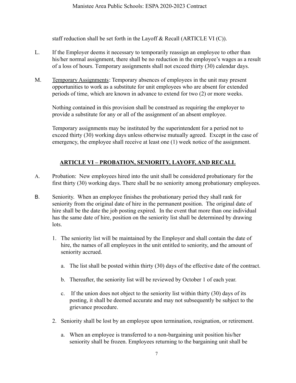staff reduction shall be set forth in the Layoff  $\&$  Recall (ARTICLE VI (C)).

- L. If the Employer deems it necessary to temporarily reassign an employee to other than his/her normal assignment, there shall be no reduction in the employee's wages as a result of a loss of hours. Temporary assignments shall not exceed thirty (30) calendar days.
- M. Temporary Assignments: Temporary absences of employees in the unit may present opportunities to work as a substitute for unit employees who are absent for extended periods of time, which are known in advance to extend for two (2) or more weeks.

Nothing contained in this provision shall be construed as requiring the employer to provide a substitute for any or all of the assignment of an absent employee.

Temporary assignments may be instituted by the superintendent for a period not to exceed thirty (30) working days unless otherwise mutually agreed. Except in the case of emergency, the employee shall receive at least one (1) week notice of the assignment.

## **ARTICLE VI – PROBATION, SENIORITY, LAYOFF, AND RECALL**

- <span id="page-6-0"></span>A. Probation: New employees hired into the unit shall be considered probationary for the first thirty (30) working days. There shall be no seniority among probationary employees.
- B. Seniority. When an employee finishes the probationary period they shall rank for seniority from the original date of hire in the permanent position. The original date of hire shall be the date the job posting expired. In the event that more than one individual has the same date of hire, position on the seniority list shall be determined by drawing lots.
	- 1. The seniority list will be maintained by the Employer and shall contain the date of hire, the names of all employees in the unit entitled to seniority, and the amount of seniority accrued.
		- a. The list shall be posted within thirty (30) days of the effective date of the contract.
		- b. Thereafter, the seniority list will be reviewed by October 1 of each year.
		- c. If the union does not object to the seniority list within thirty (30) days of its posting, it shall be deemed accurate and may not subsequently be subject to the grievance procedure.
	- 2. Seniority shall be lost by an employee upon termination, resignation, or retirement.
		- a. When an employee is transferred to a non-bargaining unit position his/her seniority shall be frozen. Employees returning to the bargaining unit shall be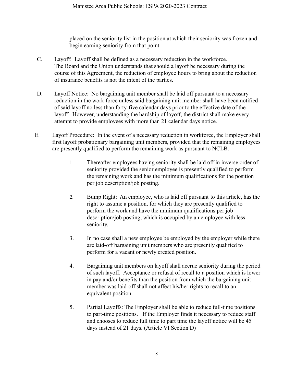placed on the seniority list in the position at which their seniority was frozen and begin earning seniority from that point.

- C. Layoff: Layoff shall be defined as a necessary reduction in the workforce. The Board and the Union understands that should a layoff be necessary during the course of this Agreement, the reduction of employee hours to bring about the reduction of insurance benefits is not the intent of the parties.
- D. Layoff Notice: No bargaining unit member shall be laid off pursuant to a necessary reduction in the work force unless said bargaining unit member shall have been notified of said layoff no less than forty-five calendar days prior to the effective date of the layoff. However, understanding the hardship of layoff, the district shall make every attempt to provide employees with more than 21 calendar days notice.
- E. Layoff Procedure: In the event of a necessary reduction in workforce, the Employer shall first layoff probationary bargaining unit members, provided that the remaining employees are presently qualified to perform the remaining work as pursuant to NCLB.
	- 1. Thereafter employees having seniority shall be laid off in inverse order of seniority provided the senior employee is presently qualified to perform the remaining work and has the minimum qualifications for the position per job description/job posting.
	- 2. Bump Right: An employee, who is laid off pursuant to this article, has the right to assume a position, for which they are presently qualified to perform the work and have the minimum qualifications per job description/job posting, which is occupied by an employee with less seniority.
	- 3. In no case shall a new employee be employed by the employer while there are laid-off bargaining unit members who are presently qualified to perform for a vacant or newly created position.
	- 4. Bargaining unit members on layoff shall accrue seniority during the period of such layoff. Acceptance or refusal of recall to a position which is lower in pay and/or benefits than the position from which the bargaining unit member was laid-off shall not affect his/her rights to recall to an equivalent position.
	- 5. Partial Layoffs: The Employer shall be able to reduce full-time positions to part-time positions. If the Employer finds it necessary to reduce staff and chooses to reduce full time to part time the layoff notice will be 45 days instead of 21 days. (Article VI Section D)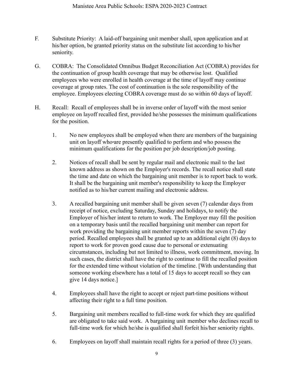- F. Substitute Priority: A laid-off bargaining unit member shall, upon application and at his/her option, be granted priority status on the substitute list according to his/her seniority.
- G. COBRA: The Consolidated Omnibus Budget Reconciliation Act (COBRA) provides for the continuation of group health coverage that may be otherwise lost. Qualified employees who were enrolled in health coverage at the time of layoff may continue coverage at group rates. The cost of continuation is the sole responsibility of the employee. Employees electing COBRA coverage must do so within 60 days of layoff.
- H. Recall: Recall of employees shall be in inverse order of layoff with the most senior employee on layoff recalled first, provided he/she possesses the minimum qualifications for the position.
	- 1. No new employees shall be employed when there are members of the bargaining unit on layoff who are presently qualified to perform and who possess the minimum qualifications for the position per job description/job posting.
	- 2. Notices of recall shall be sent by regular mail and electronic mail to the last known address as shown on the Employer's records. The recall notice shall state the time and date on which the bargaining unit member is to report back to work. It shall be the bargaining unit member's responsibility to keep the Employer notified as to his/her current mailing and electronic address.
	- 3. A recalled bargaining unit member shall be given seven (7) calendar days from receipt of notice, excluding Saturday, Sunday and holidays, to notify the Employer of his/her intent to return to work. The Employer may fill the position on a temporary basis until the recalled bargaining unit member can report for work providing the bargaining unit member reports within the seven (7) day period. Recalled employees shall be granted up to an additional eight (8) days to report to work for proven good cause due to personal or extenuating circumstances, including but not limited to illness, work commitment, moving. In such cases, the district shall have the right to continue to fill the recalled position for the extended time without violation of the timeline. [With understanding that someone working elsewhere has a total of 15 days to accept recall so they can give 14 days notice.]
	- 4. Employees shall have the right to accept or reject part-time positions without affecting their right to a full time position.
	- 5. Bargaining unit members recalled to full-time work for which they are qualified are obligated to take said work. A bargaining unit member who declines recall to full-time work for which he/she is qualified shall forfeit his/her seniority rights.
	- 6. Employees on layoff shall maintain recall rights for a period of three (3) years.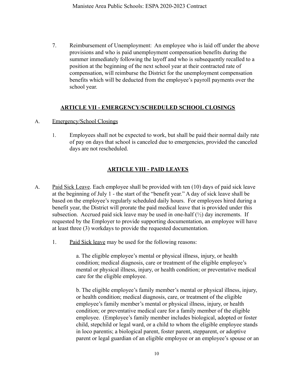7. Reimbursement of Unemployment: An employee who is laid off under the above provisions and who is paid unemployment compensation benefits during the summer immediately following the layoff and who is subsequently recalled to a position at the beginning of the next school year at their contracted rate of compensation, will reimburse the District for the unemployment compensation benefits which will be deducted from the employee's payroll payments over the school year.

## **ARTICLE VII - EMERGENCY/SCHEDULED SCHOOL CLOSINGS**

- A. Emergency/School Closings
	- 1. Employees shall not be expected to work, but shall be paid their normal daily rate of pay on days that school is canceled due to emergencies, provided the canceled days are not rescheduled.

## **ARTICLE VIII - PAID LEAVES**

- <span id="page-9-0"></span>A. Paid Sick Leave. Each employee shall be provided with ten (10) days of paid sick leave at the beginning of July 1 - the start of the "benefit year." A day of sick leave shall be based on the employee's regularly scheduled daily hours. For employees hired during a benefit year, the District will prorate the paid medical leave that is provided under this subsection. Accrued paid sick leave may be used in one-half  $(\frac{1}{2})$  day increments. If requested by the Employer to provide supporting documentation, an employee will have at least three (3) workdays to provide the requested documentation.
	- 1. Paid Sick leave may be used for the following reasons:

a. The eligible employee's mental or physical illness, injury, or health condition; medical diagnosis, care or treatment of the eligible employee's mental or physical illness, injury, or health condition; or preventative medical care for the eligible employee.

b. The eligible employee's family member's mental or physical illness, injury, or health condition; medical diagnosis, care, or treatment of the eligible employee's family member's mental or physical illness, injury, or health condition; or preventative medical care for a family member of the eligible employee. (Employee's family member includes biological, adopted or foster child, stepchild or legal ward, or a child to whom the eligible employee stands in loco parentis; a biological parent, foster parent, stepparent, or adoptive parent or legal guardian of an eligible employee or an employee's spouse or an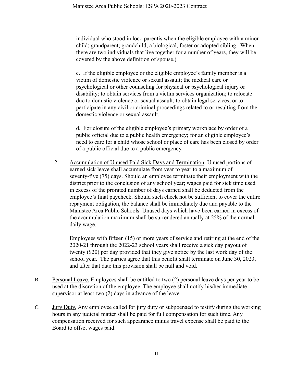individual who stood in loco parentis when the eligible employee with a minor child; grandparent; grandchild; a biological, foster or adopted sibling. When there are two individuals that live together for a number of years, they will be covered by the above definition of spouse.)

c. If the eligible employee or the eligible employee's family member is a victim of domestic violence or sexual assault; the medical care or psychological or other counseling for physical or psychological injury or disability; to obtain services from a victim services organization; to relocate due to domistic violence or sexual assault; to obtain legal services; or to participate in any civil or criminal proceedings related to or resulting from the domestic violence or sexual assault.

d. For closure of the eligible employee's primary workplace by order of a public official due to a public health emergency; for an eligible employee's need to care for a child whose school or place of care has been closed by order of a public official due to a public emergency.

2. Accumulation of Unused Paid Sick Days and Termination. Unused portions of earned sick leave shall accumulate from year to year to a maximum of seventy-five (75) days. Should an employee terminate their employment with the district prior to the conclusion of any school year; wages paid for sick time used in excess of the prorated number of days earned shall be deducted from the employee's final paycheck. Should such check not be sufficient to cover the entire repayment obligation, the balance shall be immediately due and payable to the Manistee Area Public Schools. Unused days which have been earned in excess of the accumulation maximum shall be surrendered annually at 25% of the normal daily wage.

Employees with fifteen (15) or more years of service and retiring at the end of the 2020-21 through the 2022-23 school years shall receive a sick day payout of twenty (\$20) per day provided that they give notice by the last work day of the school year. The parties agree that this benefit shall terminate on June 30, 2023, and after that date this provision shall be null and void.

- B. Personal Leave. Employees shall be entitled to two (2) personal leave days per year to be used at the discretion of the employee. The employee shall notify his/her immediate supervisor at least two (2) days in advance of the leave.
- C. Jury Duty. Any employee called for jury duty or subpoenaed to testify during the working hours in any judicial matter shall be paid for full compensation for such time. Any compensation received for such appearance minus travel expense shall be paid to the Board to offset wages paid.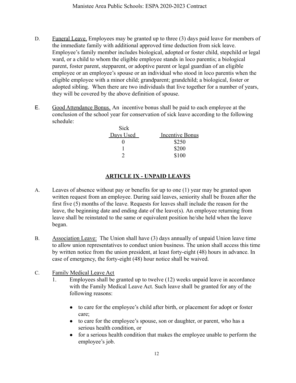- D. Funeral Leave. Employees may be granted up to three (3) days paid leave for members of the immediate family with additional approved time deduction from sick leave. Employee's family member includes biological, adopted or foster child, stepchild or legal ward, or a child to whom the eligible employee stands in loco parentis; a biological parent, foster parent, stepparent, or adoptive parent or legal guardian of an eligible employee or an employee's spouse or an individual who stood in loco parentis when the eligible employee with a minor child; grandparent; grandchild; a biological, foster or adopted sibling. When there are two individuals that live together for a number of years, they will be covered by the above definition of spouse.
- E. Good Attendance Bonus. An incentive bonus shall be paid to each employee at the conclusion of the school year for conservation of sick leave according to the following schedule:

| <b>Incentive Bonus</b> |
|------------------------|
| \$250                  |
| \$200                  |
| \$100                  |
|                        |

## **ARTICLE IX - UNPAID LEAVES**

- A. Leaves of absence without pay or benefits for up to one (1) year may be granted upon written request from an employee. During said leaves, seniority shall be frozen after the first five (5) months of the leave. Requests for leaves shall include the reason for the leave, the beginning date and ending date of the leave(s). An employee returning from leave shall be reinstated to the same or equivalent position he/she held when the leave began.
- B. Association Leave: The Union shall have (3) days annually of unpaid Union leave time to allow union representatives to conduct union business. The union shall access this time by written notice from the union president, at least forty-eight (48) hours in advance. In case of emergency, the forty-eight (48) hour notice shall be waived.
- C. Family Medical Leave Act
	- 1. Employees shall be granted up to twelve (12) weeks unpaid leave in accordance with the Family Medical Leave Act. Such leave shall be granted for any of the following reasons:
		- to care for the employee's child after birth, or placement for adopt or foster care;
		- to care for the employee's spouse, son or daughter, or parent, who has a serious health condition, or
		- for a serious health condition that makes the employee unable to perform the employee's job.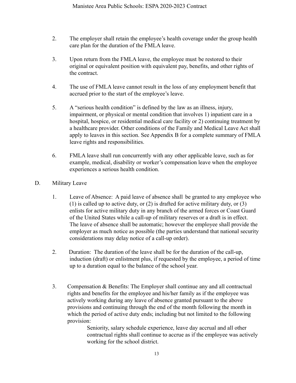- 2. The employer shall retain the employee's health coverage under the group health care plan for the duration of the FMLA leave.
- 3. Upon return from the FMLA leave, the employee must be restored to their original or equivalent position with equivalent pay, benefits, and other rights of the contract.
- 4. The use of FMLA leave cannot result in the loss of any employment benefit that accrued prior to the start of the employee's leave.
- 5. A "serious health condition" is defined by the law as an illness, injury, impairment, or physical or mental condition that involves 1) inpatient care in a hospital, hospice, or residential medical care facility or 2) continuing treatment by a healthcare provider. Other conditions of the Family and Medical Leave Act shall apply to leaves in this section. See Appendix B for a complete summary of FMLA leave rights and responsibilities.
- 6. FMLA leave shall run concurrently with any other applicable leave, such as for example, medical, disability or worker's compensation leave when the employee experiences a serious health condition.
- D. Military Leave
	- 1. Leave of Absence: A paid leave of absence shall be granted to any employee who (1) is called up to active duty, or (2) is drafted for active military duty, or (3) enlists for active military duty in any branch of the armed forces or Coast Guard of the United States while a call-up of military reserves or a draft is in effect. The leave of absence shall be automatic; however the employee shall provide the employer as much notice as possible (the parties understand that national security considerations may delay notice of a call-up order).
	- 2. Duration: The duration of the leave shall be for the duration of the call-up, induction (draft) or enlistment plus, if requested by the employee, a period of time up to a duration equal to the balance of the school year.
	- 3. Compensation & Benefits: The Employer shall continue any and all contractual rights and benefits for the employee and his/her family as if the employee was actively working during any leave of absence granted pursuant to the above provisions and continuing through the end of the month following the month in which the period of active duty ends; including but not limited to the following provision:

Seniority, salary schedule experience, leave day accrual and all other contractual rights shall continue to accrue as if the employee was actively working for the school district.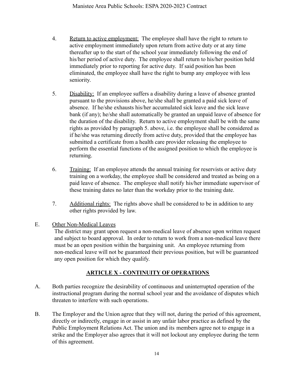- 4. Return to active employment: The employee shall have the right to return to active employment immediately upon return from active duty or at any time thereafter up to the start of the school year immediately following the end of his/her period of active duty. The employee shall return to his/her position held immediately prior to reporting for active duty. If said position has been eliminated, the employee shall have the right to bump any employee with less seniority.
- 5. Disability: If an employee suffers a disability during a leave of absence granted pursuant to the provisions above, he/she shall be granted a paid sick leave of absence. If he/she exhausts his/her accumulated sick leave and the sick leave bank (if any); he/she shall automatically be granted an unpaid leave of absence for the duration of the disability. Return to active employment shall be with the same rights as provided by paragraph 5. above, i.e. the employee shall be considered as if he/she was returning directly from active duty, provided that the employee has submitted a certificate from a health care provider releasing the employee to perform the essential functions of the assigned position to which the employee is returning.
- 6. Training: If an employee attends the annual training for reservists or active duty training on a workday, the employee shall be considered and treated as being on a paid leave of absence. The employee shall notify his/her immediate supervisor of these training dates no later than the workday prior to the training date.
- 7. Additional rights: The rights above shall be considered to be in addition to any other rights provided by law.

#### E. Other Non-Medical Leaves

The district may grant upon request a non-medical leave of absence upon written request and subject to board approval. In order to return to work from a non-medical leave there must be an open position within the bargaining unit. An employee returning from non-medical leave will not be guaranteed their previous position, but will be guaranteed any open position for which they qualify.

## **ARTICLE X - CONTINUITY OF OPERATIONS**

- <span id="page-13-0"></span>A. Both parties recognize the desirability of continuous and uninterrupted operation of the instructional program during the normal school year and the avoidance of disputes which threaten to interfere with such operations.
- B. The Employer and the Union agree that they will not, during the period of this agreement, directly or indirectly, engage in or assist in any unfair labor practice as defined by the Public Employment Relations Act. The union and its members agree not to engage in a strike and the Employer also agrees that it will not lockout any employee during the term of this agreement.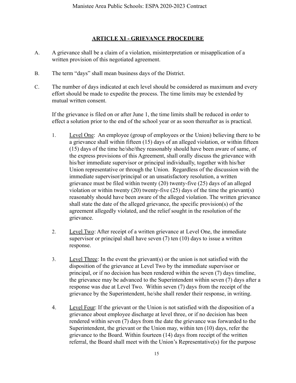#### **ARTICLE XI - GRIEVANCE PROCEDURE**

- <span id="page-14-0"></span>A. A grievance shall be a claim of a violation, misinterpretation or misapplication of a written provision of this negotiated agreement.
- B. The term "days" shall mean business days of the District.
- C. The number of days indicated at each level should be considered as maximum and every effort should be made to expedite the process. The time limits may be extended by mutual written consent.

If the grievance is filed on or after June 1, the time limits shall be reduced in order to effect a solution prior to the end of the school year or as soon thereafter as is practical.

- 1. Level One: An employee (group of employees or the Union) believing there to be a grievance shall within fifteen (15) days of an alleged violation, or within fifteen (15) days of the time he/she/they reasonably should have been aware of same, of the express provisions of this Agreement, shall orally discuss the grievance with his/her immediate supervisor or principal individually, together with his/her Union representative or through the Union. Regardless of the discussion with the immediate supervisor/principal or an unsatisfactory resolution, a written grievance must be filed within twenty (20) twenty-five (25) days of an alleged violation or within twenty (20) twenty-five (25) days of the time the grievant(s) reasonably should have been aware of the alleged violation. The written grievance shall state the date of the alleged grievance, the specific provision(s) of the agreement allegedly violated, and the relief sought in the resolution of the grievance.
- 2. Level Two: After receipt of a written grievance at Level One, the immediate supervisor or principal shall have seven (7) ten (10) days to issue a written response.
- 3. Level Three: In the event the grievant(s) or the union is not satisfied with the disposition of the grievance at Level Two by the immediate supervisor or principal, or if no decision has been rendered within the seven (7) days timeline, the grievance may be advanced to the Superintendent within seven (7) days after a response was due at Level Two. Within seven (7) days from the receipt of the grievance by the Superintendent, he/she shall render their response, in writing.
- 4. Level Four: If the grievant or the Union is not satisfied with the disposition of a grievance about employee discharge at level three, or if no decision has been rendered within seven (7) days from the date the grievance was forwarded to the Superintendent, the grievant or the Union may, within ten (10) days, refer the grievance to the Board. Within fourteen (14) days from receipt of the written referral, the Board shall meet with the Union's Representative(s) for the purpose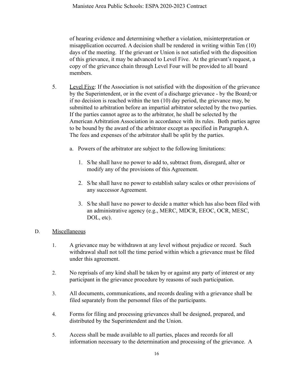of hearing evidence and determining whether a violation, misinterpretation or misapplication occurred. A decision shall be rendered in writing within Ten (10) days of the meeting. If the grievant or Union is not satisfied with the disposition of this grievance, it may be advanced to Level Five. At the grievant's request, a copy of the grievance chain through Level Four will be provided to all board members.

- 5. Level Five: If the Association is not satisfied with the disposition of the grievance by the Superintendent, or in the event of a discharge grievance - by the Board-or if no decision is reached within the ten (10) day period, the grievance may, be submitted to arbitration before an impartial arbitrator selected by the two parties. If the parties cannot agree as to the arbitrator, he shall be selected by the American Arbitration Association in accordance with its rules. Both parties agree to be bound by the award of the arbitrator except as specified in Paragraph A. The fees and expenses of the arbitrator shall be split by the parties.
	- a. Powers of the arbitrator are subject to the following limitations:
		- 1. S/he shall have no power to add to, subtract from, disregard, alter or modify any of the provisions of this Agreement.
		- 2. S/he shall have no power to establish salary scales or other provisions of any successor Agreement.
		- 3. S/he shall have no power to decide a matter which has also been filed with an administrative agency (e.g., MERC, MDCR, EEOC, OCR, MESC, DOL, etc).

#### D. Miscellaneous

- 1. A grievance may be withdrawn at any level without prejudice or record. Such withdrawal shall not toll the time period within which a grievance must be filed under this agreement.
- 2. No reprisals of any kind shall be taken by or against any party of interest or any participant in the grievance procedure by reasons of such participation.
- 3. All documents, communications, and records dealing with a grievance shall be filed separately from the personnel files of the participants.
- 4. Forms for filing and processing grievances shall be designed, prepared, and distributed by the Superintendent and the Union.
- 5. Access shall be made available to all parties, places and records for all information necessary to the determination and processing of the grievance. A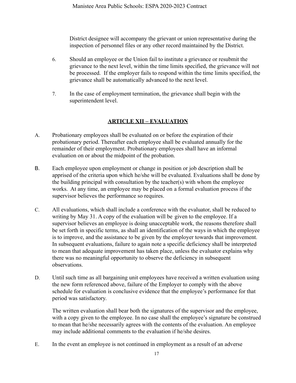District designee will accompany the grievant or union representative during the inspection of personnel files or any other record maintained by the District.

- 6. Should an employee or the Union fail to institute a grievance or resubmit the grievance to the next level, within the time limits specified, the grievance will not be processed. If the employer fails to respond within the time limits specified, the grievance shall be automatically advanced to the next level.
- 7. In the case of employment termination, the grievance shall begin with the superintendent level.

## **ARTICLE XII – EVALUATION**

- A. Probationary employees shall be evaluated on or before the expiration of their probationary period. Thereafter each employee shall be evaluated annually for the remainder of their employment. Probationary employees shall have an informal evaluation on or about the midpoint of the probation.
- B. Each employee upon employment or change in position or job description shall be apprised of the criteria upon which he/she will be evaluated. Evaluations shall be done by the building principal with consultation by the teacher(s) with whom the employee works. At any time, an employee may be placed on a formal evaluation process if the supervisor believes the performance so requires.
- C. All evaluations, which shall include a conference with the evaluator, shall be reduced to writing by May 31. A copy of the evaluation will be given to the employee. If a supervisor believes an employee is doing unacceptable work, the reasons therefore shall be set forth in specific terms, as shall an identification of the ways in which the employee is to improve, and the assistance to be given by the employer towards that improvement. In subsequent evaluations, failure to again note a specific deficiency shall be interpreted to mean that adequate improvement has taken place, unless the evaluator explains why there was no meaningful opportunity to observe the deficiency in subsequent observations.
- D. Until such time as all bargaining unit employees have received a written evaluation using the new form referenced above, failure of the Employer to comply with the above schedule for evaluation is conclusive evidence that the employee's performance for that period was satisfactory.

The written evaluation shall bear both the signatures of the supervisor and the employee, with a copy given to the employee. In no case shall the employee's signature be construed to mean that he/she necessarily agrees with the contents of the evaluation. An employee may include additional comments to the evaluation if he/she desires.

E. In the event an employee is not continued in employment as a result of an adverse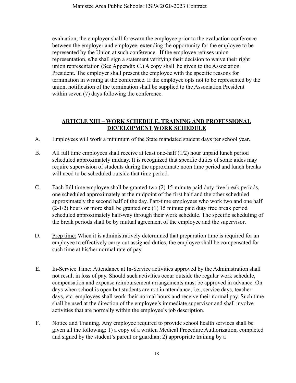evaluation, the employer shall forewarn the employee prior to the evaluation conference between the employer and employee, extending the opportunity for the employee to be represented by the Union at such conference. If the employee refuses union representation, s/he shall sign a statement verifying their decision to waive their right union representation (See Appendix C.) A copy shall be given to the Association President. The employer shall present the employee with the specific reasons for termination in writing at the conference. If the employee opts not to be represented by the union, notification of the termination shall be supplied to the Association President within seven (7) days following the conference.

## **ARTICLE XIII – WORK SCHEDULE, TRAINING AND PROFESSIONAL DEVELOPMENT WORK SCHEDULE**

- A. Employees will work a minimum of the State mandated student days per school year.
- B. All full time employees shall receive at least one-half (1/2) hour unpaid lunch period scheduled approximately midday. It is recognized that specific duties of some aides may require supervision of students during the approximate noon time period and lunch breaks will need to be scheduled outside that time period.
- C. Each full time employee shall be granted two (2) 15-minute paid duty-free break periods, one scheduled approximately at the midpoint of the first half and the other scheduled approximately the second half of the day. Part-time employees who work two and one half (2-1/2) hours or more shall be granted one (1) 15 minute paid duty free break period scheduled approximately half-way through their work schedule. The specific scheduling of the break periods shall be by mutual agreement of the employee and the supervisor.
- D. Prep time: When it is administratively determined that preparation time is required for an employee to effectively carry out assigned duties, the employee shall be compensated for such time at his/her normal rate of pay.
- E. In-Service Time: Attendance at In-Service activities approved by the Administration shall not result in loss of pay. Should such activities occur outside the regular work schedule, compensation and expense reimbursement arrangements must be approved in advance. On days when school is open but students are not in attendance, i.e., service days, teacher days, etc. employees shall work their normal hours and receive their normal pay. Such time shall be used at the direction of the employee's immediate supervisor and shall involve activities that are normally within the employee's job description.
- F. Notice and Training. Any employee required to provide school health services shall be given all the following: 1) a copy of a written Medical Procedure Authorization, completed and signed by the student's parent or guardian; 2) appropriate training by a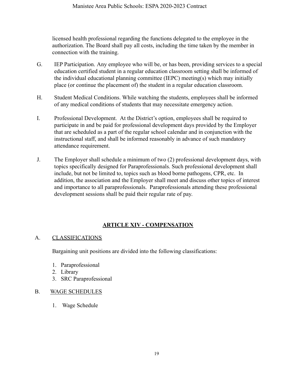licensed health professional regarding the functions delegated to the employee in the authorization. The Board shall pay all costs, including the time taken by the member in connection with the training.

- G. IEP Participation. Any employee who will be, or has been, providing services to a special education certified student in a regular education classroom setting shall be informed of the individual educational planning committee (IEPC) meeting(s) which may initially place (or continue the placement of) the student in a regular education classroom.
- H. Student Medical Conditions. While watching the students, employees shall be informed of any medical conditions of students that may necessitate emergency action.
- I. Professional Development. At the District's option, employees shall be required to participate in and be paid for professional development days provided by the Employer that are scheduled as a part of the regular school calendar and in conjunction with the instructional staff, and shall be informed reasonably in advance of such mandatory attendance requirement.
- J. The Employer shall schedule a minimum of two (2) professional development days, with topics specifically designed for Paraprofessionals. Such professional development shall include, but not be limited to, topics such as blood borne pathogens, CPR, etc. In addition, the association and the Employer shall meet and discuss other topics of interest and importance to all paraprofessionals. Paraprofessionals attending these professional development sessions shall be paid their regular rate of pay.

# **ARTICLE XIV - COMPENSATION**

#### A. CLASSIFICATIONS

Bargaining unit positions are divided into the following classifications:

- 1. Paraprofessional
- 2. Library
- 3. SRC Paraprofessional

#### B. WAGE SCHEDULES

1. Wage Schedule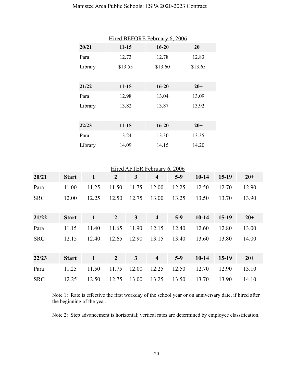| Hired BEFORE February 6, 2006 |           |           |         |  |  |
|-------------------------------|-----------|-----------|---------|--|--|
| 20/21                         | $11 - 15$ | $16 - 20$ | $20+$   |  |  |
| Para                          | 12.73     | 12.78     | 12.83   |  |  |
| Library                       | \$13.55   | \$13.60   | \$13.65 |  |  |
|                               |           |           |         |  |  |
| 21/22                         | $11 - 15$ | $16 - 20$ | $20 +$  |  |  |
| Para                          | 12.98     | 13.04     | 13.09   |  |  |
| Library                       | 13.82     | 13.87     | 13.92   |  |  |
|                               |           |           |         |  |  |
| 22/23                         | $11 - 15$ | $16 - 20$ | $20+$   |  |  |
| Para                          | 13.24     | 13.30     | 13.35   |  |  |
| Library                       | 14.09     | 14.15     | 14.20   |  |  |

## Hired AFTER February 6, 2006

| 20/21      | <b>Start</b> | $\mathbf{1}$ | $\overline{2}$ | 3     | $\overline{\mathbf{4}}$ | $5-9$ | $10-14$   | $15-19$ | $20+$ |
|------------|--------------|--------------|----------------|-------|-------------------------|-------|-----------|---------|-------|
| Para       | 11.00        | 11.25        | 11.50          | 11.75 | 12.00                   | 12.25 | 12.50     | 12.70   | 12.90 |
| <b>SRC</b> | 12.00        | 12.25        | 12.50          | 12.75 | 13.00                   | 13.25 | 13.50     | 13.70   | 13.90 |
| 21/22      | <b>Start</b> | $\mathbf{1}$ | $\overline{2}$ | 3     | $\overline{\mathbf{4}}$ | $5-9$ | $10 - 14$ | $15-19$ | $20+$ |
| Para       | 11.15        | 11.40        | 11.65          | 11.90 | 12.15                   | 12.40 | 12.60     | 12.80   | 13.00 |
| <b>SRC</b> | 12.15        | 12.40        | 12.65          | 12.90 | 13.15                   | 13.40 | 13.60     | 13.80   | 14.00 |
| 22/23      | <b>Start</b> | $\mathbf{1}$ | $\overline{2}$ | 3     | $\overline{\mathbf{4}}$ | $5-9$ | $10 - 14$ | $15-19$ | $20+$ |
| Para       | 11.25        | 11.50        | 11.75          | 12.00 | 12.25                   | 12.50 | 12.70     | 12.90   | 13.10 |
| <b>SRC</b> | 12.25        | 12.50        | 12.75          | 13.00 | 13.25                   | 13.50 | 13.70     | 13.90   | 14.10 |

Note 1: Rate is effective the first workday of the school year or on anniversary date, if hired after the beginning of the year.

Note 2: Step advancement is horizontal; vertical rates are determined by employee classification.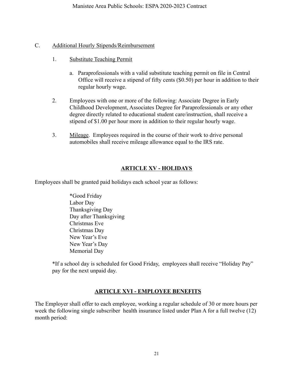#### C. Additional Hourly Stipends/Reimbursement

- 1. Substitute Teaching Permit
	- a. Paraprofessionals with a valid substitute teaching permit on file in Central Office will receive a stipend of fifty cents (\$0.50) per hour in addition to their regular hourly wage.
- 2. Employees with one or more of the following: Associate Degree in Early Childhood Development, Associates Degree for Paraprofessionals or any other degree directly related to educational student care/instruction, shall receive a stipend of \$1.00 per hour more in addition to their regular hourly wage.
- 3. Mileage. Employees required in the course of their work to drive personal automobiles shall receive mileage allowance equal to the IRS rate.

## **ARTICLE XV - HOLIDAYS**

Employees shall be granted paid holidays each school year as follows:

\*Good Friday Labor Day Thanksgiving Day Day after Thanksgiving Christmas Eve Christmas Day New Year's Eve New Year's Day Memorial Day

\*If a school day is scheduled for Good Friday, employees shall receive "Holiday Pay" pay for the next unpaid day.

## **ARTICLE XVI - EMPLOYEE BENEFITS**

The Employer shall offer to each employee, working a regular schedule of 30 or more hours per week the following single subscriber health insurance listed under Plan A for a full twelve (12) month period: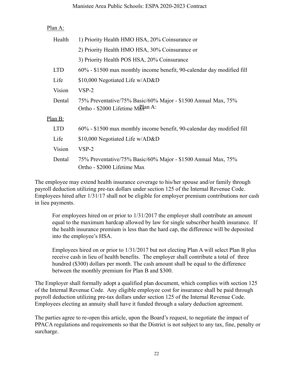#### Manistee Area Public Schools: ESPA 2020-2023 Contract

#### Plan A:

| Health     | 1) Priority Health HMO HSA, 20% Coinsurance or                                                    |
|------------|---------------------------------------------------------------------------------------------------|
|            | 2) Priority Health HMO HSA, 30% Coinsurance or                                                    |
|            | 3) Priority Health POS HSA, 20% Coinsurance                                                       |
| <b>LTD</b> | 60% - \$1500 max monthly income benefit, 90-calendar day modified fill                            |
| Life       | \$10,000 Negotiated Life w/AD&D                                                                   |
| Vision     | $VSP-2$                                                                                           |
| Dental     | 75% Preventative/75% Basic/60% Major - \$1500 Annual Max, 75%<br>Ortho - \$2000 Lifetime Maxan A: |
| PlanB:     |                                                                                                   |
| <b>LTD</b> | 60% - \$1500 max monthly income benefit, 90-calendar day modified fill                            |
| Life       | \$10,000 Negotiated Life w/AD&D                                                                   |
| Vision     | $VSP-2$                                                                                           |
| Dental     | 75% Preventative/75% Basic/60% Major - \$1500 Annual Max, 75%<br>Ortho - \$2000 Lifetime Max      |

The employee may extend health insurance coverage to his/her spouse and/or family through payroll deduction utilizing pre-tax dollars under section 125 of the Internal Revenue Code. Employees hired after 1/31/17 shall not be eligible for employer premium contributions nor cash in lieu payments.

For employees hired on or prior to 1/31/2017 the employer shall contribute an amount equal to the maximum hardcap allowed by law for single subscriber health insurance. If the health insurance premium is less than the hard cap, the difference will be deposited into the employee's HSA.

Employees hired on or prior to 1/31/2017 but not electing Plan A will select Plan B plus receive cash in lieu of health benefits. The employer shall contribute a total of three hundred (\$300) dollars per month. The cash amount shall be equal to the difference between the monthly premium for Plan B and \$300.

The Employer shall formally adopt a qualified plan document, which complies with section 125 of the Internal Revenue Code. Any eligible employee cost for insurance shall be paid through payroll deduction utilizing pre-tax dollars under section 125 of the Internal Revenue Code. Employees electing an annuity shall have it funded through a salary deduction agreement.

The parties agree to re-open this article, upon the Board's request, to negotiate the impact of PPACA regulations and requirements so that the District is not subject to any tax, fine, penalty or surcharge.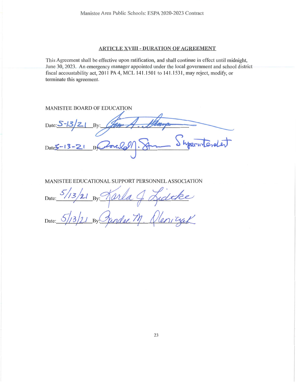#### **ARTICLE XVIII - DURATION OF AGREEMENT**

This Agreement shall be effective upon ratification, and shall continue in effect until midnight, June 30, 2023. An emergency manager appointed under the local government and school district fiscal accountability act, 2011 PA 4, MCL 141.1501 to 141.1531, may reject, modify, or terminate this agreement.

#### MANISTEE BOARD OF EDUCATION

Date: S  $Date 5 - 13 - 2$ 

#### MANISTEE EDUCATIONAL SUPPORT PERSONNEL ASSOCIATION

itke<br>virgek Date:

Date: